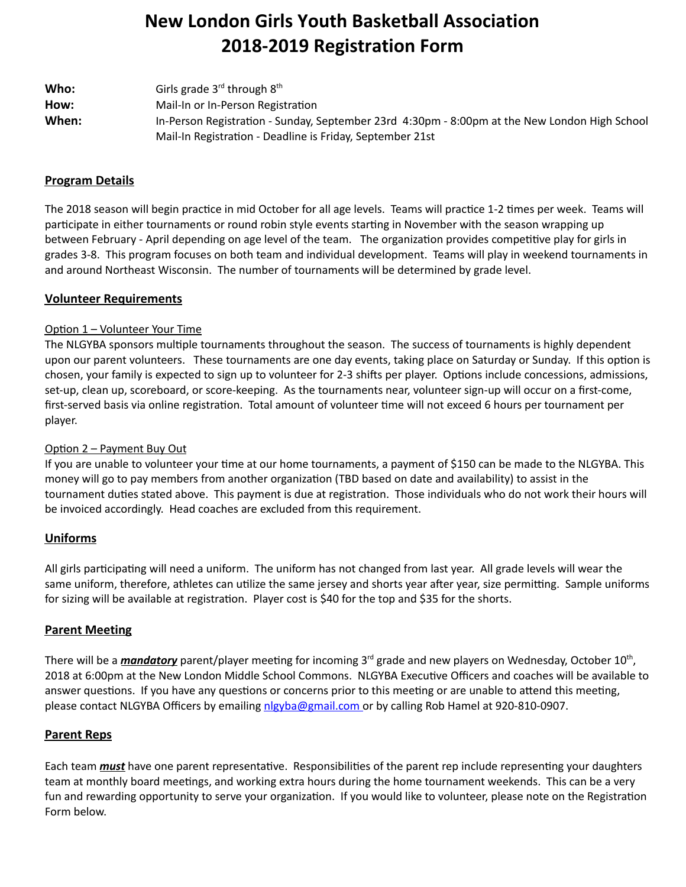# **New London Girls Youth Basketball Association 2018-2019 Registration Form**

| Who:  | Girls grade $3^{\text{rd}}$ through $8^{\text{th}}$                                           |
|-------|-----------------------------------------------------------------------------------------------|
| How:  | Mail-In or In-Person Registration                                                             |
| When: | In-Person Registration - Sunday, September 23rd 4:30pm - 8:00pm at the New London High School |
|       | Mail-In Registration - Deadline is Friday, September 21st                                     |

## **Program Details**

The 2018 season will begin practice in mid October for all age levels. Teams will practice 1-2 times per week. Teams will participate in either tournaments or round robin style events starting in November with the season wrapping up between February - April depending on age level of the team. The organization provides competitive play for girls in grades 3-8. This program focuses on both team and individual development. Teams will play in weekend tournaments in and around Northeast Wisconsin. The number of tournaments will be determined by grade level.

## **Volunteer Requirements**

#### Option 1 – Volunteer Your Time

The NLGYBA sponsors multiple tournaments throughout the season. The success of tournaments is highly dependent upon our parent volunteers. These tournaments are one day events, taking place on Saturday or Sunday. If this option is chosen, your family is expected to sign up to volunteer for 2-3 shifts per player. Options include concessions, admissions, set-up, clean up, scoreboard, or score-keeping. As the tournaments near, volunteer sign-up will occur on a first-come, first-served basis via online registration. Total amount of volunteer time will not exceed 6 hours per tournament per player.

#### Option 2 – Payment Buy Out

If you are unable to volunteer your time at our home tournaments, a payment of \$150 can be made to the NLGYBA. This money will go to pay members from another organization (TBD based on date and availability) to assist in the tournament duties stated above. This payment is due at registration. Those individuals who do not work their hours will be invoiced accordingly. Head coaches are excluded from this requirement.

#### **Uniforms**

All girls participating will need a uniform. The uniform has not changed from last year. All grade levels will wear the same uniform, therefore, athletes can utilize the same jersey and shorts year after year, size permitting. Sample uniforms for sizing will be available at registration. Player cost is \$40 for the top and \$35 for the shorts.

#### **Parent Meeting**

There will be a *mandatory* parent/player meeting for incoming 3<sup>rd</sup> grade and new players on Wednesday, October 10<sup>th</sup>, 2018 at 6:00pm at the New London Middle School Commons. NLGYBA Executive Officers and coaches will be available to answer questions. If you have any questions or concerns prior to this meeting or are unable to attend this meeting, please contact NLGYBA Officers by emailing nlgyba@gmail.com or by calling Rob Hamel at 920-810-0907.

# **Parent Reps**

Each team *must* have one parent representative. Responsibilities of the parent rep include representing your daughters team at monthly board meetings, and working extra hours during the home tournament weekends. This can be a very fun and rewarding opportunity to serve your organization. If you would like to volunteer, please note on the Registration Form below.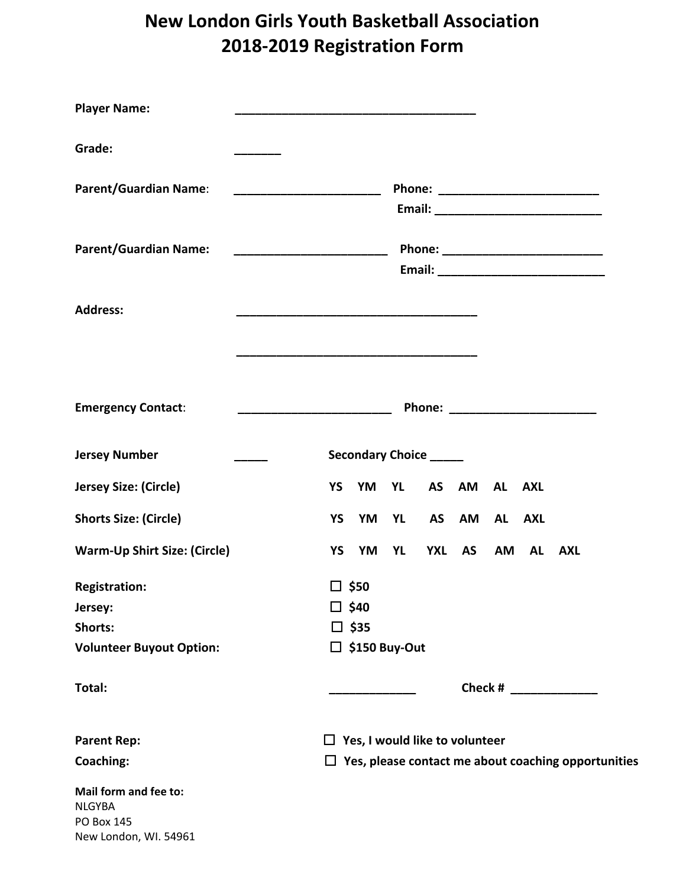# **New London Girls Youth Basketball Association 2018-2019 Registration Form**

| <b>Player Name:</b>                                        |                                                                            |
|------------------------------------------------------------|----------------------------------------------------------------------------|
| Grade:                                                     |                                                                            |
| <b>Parent/Guardian Name:</b>                               |                                                                            |
|                                                            |                                                                            |
| <b>Parent/Guardian Name:</b>                               |                                                                            |
|                                                            |                                                                            |
|                                                            |                                                                            |
| <b>Address:</b>                                            |                                                                            |
|                                                            |                                                                            |
|                                                            |                                                                            |
| <b>Emergency Contact:</b>                                  | Phone: ________________________                                            |
|                                                            |                                                                            |
| <b>Jersey Number</b>                                       | <b>Secondary Choice</b> _____                                              |
| Jersey Size: (Circle)                                      | <b>YS</b><br>YM YL<br><b>AS</b><br>AM<br>AL AXL                            |
| <b>Shorts Size: (Circle)</b>                               | <b>YL</b><br>AS AM AL AXL<br>YS<br>YM                                      |
| <b>Warm-Up Shirt Size: (Circle)</b>                        | <b>YXL</b><br><b>AS</b><br>YS<br>YM<br><b>YL</b><br>AM<br><b>AL</b><br>AXL |
| <b>Registration:</b>                                       | $\square$ \$50                                                             |
| Jersey:                                                    | □ \$40                                                                     |
| Shorts:                                                    | $\square$ \$35                                                             |
| <b>Volunteer Buyout Option:</b>                            | $\Box$ \$150 Buy-Out                                                       |
| Total:                                                     | Check # 2007 2007 2008                                                     |
| <b>Parent Rep:</b>                                         | $\Box$ Yes, I would like to volunteer                                      |
| <b>Coaching:</b>                                           | $\Box$ Yes, please contact me about coaching opportunities                 |
| Mail form and fee to:<br><b>NLGYBA</b><br>$DCD$ $DQ$ $IAP$ |                                                                            |

PO Box 145 New London, WI. 54961